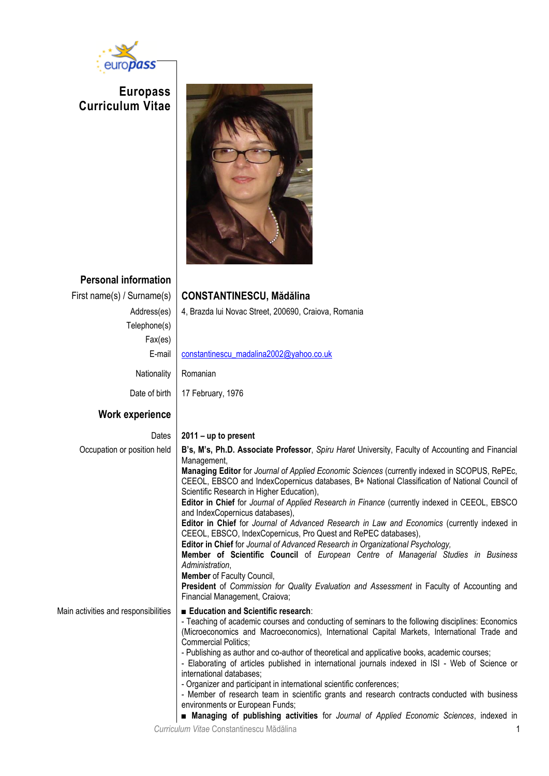

**Europass Curriculum Vitae**



### **Personal information**

#### First name(s) / Surname(s) **CONSTANTINESCU, Mădălina** Address(es) 4, Brazda lui Novac Street, 200690, Craiova, Romania Telephone(s) Fax(es) E-mail | [constantinescu\\_madalina2002@yahoo.co.uk](mailto:constantinescu_madalina2002@yahoo.co.uk) Nationality | Romanian Date of birth | 17 February, 1976 **Work experience** Dates **2011 – up to present** Occupation or position held **B's, M's, Ph.D. Associate Professor**, *Spiru Haret* University, Faculty of Accounting and Financial Management, **Managing Editor** for *Journal of Applied Economic Sciences* (currently indexed in SCOPUS, RePEc, CEEOL, EBSCO and IndexCopernicus databases, B+ National Classification of National Council of Scientific Research in Higher Education), **Editor in Chief** for *Journal of Applied Research in Finance* (currently indexed in CEEOL, EBSCO and IndexCopernicus databases), **Editor in Chief** for *Journal of Advanced Research in Law and Economics* (currently indexed in CEEOL, EBSCO, IndexCopernicus, Pro Quest and RePEC databases), **Editor in Chief** for *Journal of Advanced Research in Organizational Psychology,* **Member of Scientific Council** of *European Centre of Managerial Studies in Business Administration*, **Member** of Faculty Council, **President** of *Commission for Quality Evaluation and Assessment* in Faculty of Accounting and Financial Management, Craiova; Main activities and responsibilities ■ **Education and Scientific research**: - Teaching of academic courses and conducting of seminars to the following disciplines: Economics (Microeconomics and Macroeconomics), International Capital Markets, International Trade and Commercial Politics; - Publishing as author and co-author of theoretical and applicative books, academic courses; - Elaborating of articles published in international journals indexed in ISI - Web of Science or international databases; - Organizer and participant in international scientific conferences;

- Member of research team in scientific grants and research contracts conducted with business environments or European Funds;

■ **Managing of publishing activities** for *Journal of Applied Economic Sciences*, indexed in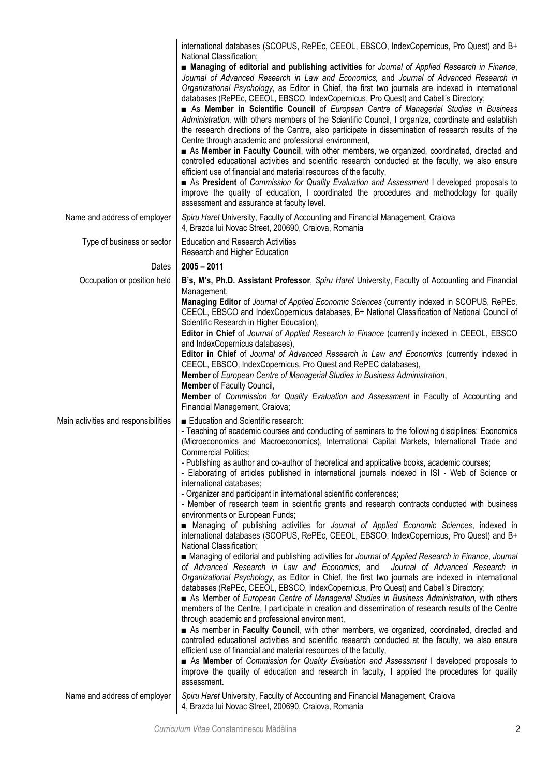|                                                            | international databases (SCOPUS, RePEc, CEEOL, EBSCO, IndexCopernicus, Pro Quest) and B+<br>National Classification;<br>■ Managing of editorial and publishing activities for Journal of Applied Research in Finance,<br>Journal of Advanced Research in Law and Economics, and Journal of Advanced Research in<br>Organizational Psychology, as Editor in Chief, the first two journals are indexed in international<br>databases (RePEc, CEEOL, EBSCO, IndexCopernicus, Pro Quest) and Cabell's Directory;<br>As Member in Scientific Council of European Centre of Managerial Studies in Business<br>Administration, with others members of the Scientific Council, I organize, coordinate and establish<br>the research directions of the Centre, also participate in dissemination of research results of the<br>Centre through academic and professional environment,<br>As Member in Faculty Council, with other members, we organized, coordinated, directed and<br>controlled educational activities and scientific research conducted at the faculty, we also ensure<br>efficient use of financial and material resources of the faculty,<br>As President of Commission for Quality Evaluation and Assessment I developed proposals to<br>improve the quality of education, I coordinated the procedures and methodology for quality<br>assessment and assurance at faculty level.                                                                              |
|------------------------------------------------------------|---------------------------------------------------------------------------------------------------------------------------------------------------------------------------------------------------------------------------------------------------------------------------------------------------------------------------------------------------------------------------------------------------------------------------------------------------------------------------------------------------------------------------------------------------------------------------------------------------------------------------------------------------------------------------------------------------------------------------------------------------------------------------------------------------------------------------------------------------------------------------------------------------------------------------------------------------------------------------------------------------------------------------------------------------------------------------------------------------------------------------------------------------------------------------------------------------------------------------------------------------------------------------------------------------------------------------------------------------------------------------------------------------------------------------------------------------------------------------|
| Name and address of employer<br>Type of business or sector | Spiru Haret University, Faculty of Accounting and Financial Management, Craiova<br>4, Brazda lui Novac Street, 200690, Craiova, Romania<br><b>Education and Research Activities</b>                                                                                                                                                                                                                                                                                                                                                                                                                                                                                                                                                                                                                                                                                                                                                                                                                                                                                                                                                                                                                                                                                                                                                                                                                                                                                       |
| Dates                                                      | Research and Higher Education<br>$2005 - 2011$                                                                                                                                                                                                                                                                                                                                                                                                                                                                                                                                                                                                                                                                                                                                                                                                                                                                                                                                                                                                                                                                                                                                                                                                                                                                                                                                                                                                                            |
| Occupation or position held                                | B's, M's, Ph.D. Assistant Professor, Spiru Haret University, Faculty of Accounting and Financial<br>Management,                                                                                                                                                                                                                                                                                                                                                                                                                                                                                                                                                                                                                                                                                                                                                                                                                                                                                                                                                                                                                                                                                                                                                                                                                                                                                                                                                           |
|                                                            | Managing Editor of Journal of Applied Economic Sciences (currently indexed in SCOPUS, RePEc,<br>CEEOL, EBSCO and IndexCopernicus databases, B+ National Classification of National Council of<br>Scientific Research in Higher Education),<br>Editor in Chief of Journal of Applied Research in Finance (currently indexed in CEEOL, EBSCO                                                                                                                                                                                                                                                                                                                                                                                                                                                                                                                                                                                                                                                                                                                                                                                                                                                                                                                                                                                                                                                                                                                                |
|                                                            | and IndexCopernicus databases),<br>Editor in Chief of Journal of Advanced Research in Law and Economics (currently indexed in<br>CEEOL, EBSCO, IndexCopernicus, Pro Quest and RePEC databases),<br>Member of European Centre of Managerial Studies in Business Administration,<br>Member of Faculty Council,                                                                                                                                                                                                                                                                                                                                                                                                                                                                                                                                                                                                                                                                                                                                                                                                                                                                                                                                                                                                                                                                                                                                                              |
|                                                            | Member of Commission for Quality Evaluation and Assessment in Faculty of Accounting and<br>Financial Management, Craiova;                                                                                                                                                                                                                                                                                                                                                                                                                                                                                                                                                                                                                                                                                                                                                                                                                                                                                                                                                                                                                                                                                                                                                                                                                                                                                                                                                 |
| Main activities and responsibilities                       | Education and Scientific research:<br>- Teaching of academic courses and conducting of seminars to the following disciplines: Economics<br>(Microeconomics and Macroeconomics), International Capital Markets, International Trade and<br>Commercial Politics;<br>- Publishing as author and co-author of theoretical and applicative books, academic courses;<br>- Elaborating of articles published in international journals indexed in ISI - Web of Science or<br>international databases;<br>- Organizer and participant in international scientific conferences;<br>- Member of research team in scientific grants and research contracts conducted with business                                                                                                                                                                                                                                                                                                                                                                                                                                                                                                                                                                                                                                                                                                                                                                                                   |
| Name and address of employer                               | environments or European Funds;<br>■ Managing of publishing activities for Journal of Applied Economic Sciences, indexed in<br>international databases (SCOPUS, RePEc, CEEOL, EBSCO, IndexCopernicus, Pro Quest) and B+<br>National Classification;<br>■ Managing of editorial and publishing activities for Journal of Applied Research in Finance, Journal<br>of Advanced Research in Law and Economics, and Journal of Advanced Research in<br>Organizational Psychology, as Editor in Chief, the first two journals are indexed in international<br>databases (RePEc, CEEOL, EBSCO, IndexCopernicus, Pro Quest) and Cabell's Directory;<br>As Member of European Centre of Managerial Studies in Business Administration, with others<br>members of the Centre, I participate in creation and dissemination of research results of the Centre<br>through academic and professional environment,<br>As member in Faculty Council, with other members, we organized, coordinated, directed and<br>controlled educational activities and scientific research conducted at the faculty, we also ensure<br>efficient use of financial and material resources of the faculty,<br>As Member of Commission for Quality Evaluation and Assessment I developed proposals to<br>improve the quality of education and research in faculty, I applied the procedures for quality<br>assessment.<br>Spiru Haret University, Faculty of Accounting and Financial Management, Craiova |
|                                                            | 4, Brazda lui Novac Street, 200690, Craiova, Romania                                                                                                                                                                                                                                                                                                                                                                                                                                                                                                                                                                                                                                                                                                                                                                                                                                                                                                                                                                                                                                                                                                                                                                                                                                                                                                                                                                                                                      |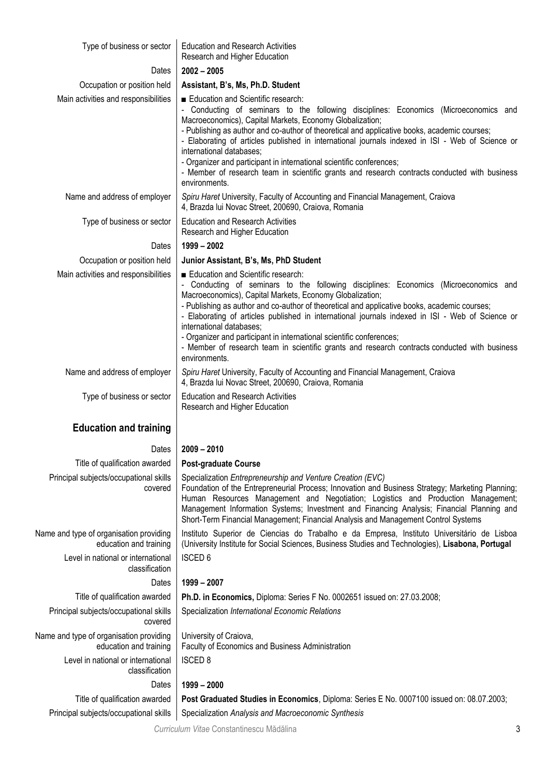| Type of business or sector                                        | <b>Education and Research Activities</b><br>Research and Higher Education                                                                                                                                                                                                                                                                                                                                                                                                                                                                                                                                        |
|-------------------------------------------------------------------|------------------------------------------------------------------------------------------------------------------------------------------------------------------------------------------------------------------------------------------------------------------------------------------------------------------------------------------------------------------------------------------------------------------------------------------------------------------------------------------------------------------------------------------------------------------------------------------------------------------|
| Dates                                                             | $2002 - 2005$                                                                                                                                                                                                                                                                                                                                                                                                                                                                                                                                                                                                    |
| Occupation or position held                                       | Assistant, B's, Ms, Ph.D. Student                                                                                                                                                                                                                                                                                                                                                                                                                                                                                                                                                                                |
| Main activities and responsibilities                              | Education and Scientific research:<br>Conducting of seminars to the following disciplines: Economics (Microeconomics and<br>Macroeconomics), Capital Markets, Economy Globalization;<br>- Publishing as author and co-author of theoretical and applicative books, academic courses;<br>- Elaborating of articles published in international journals indexed in ISI - Web of Science or<br>international databases;<br>- Organizer and participant in international scientific conferences;<br>- Member of research team in scientific grants and research contracts conducted with business<br>environments.   |
| Name and address of employer                                      | Spiru Haret University, Faculty of Accounting and Financial Management, Craiova<br>4, Brazda lui Novac Street, 200690, Craiova, Romania                                                                                                                                                                                                                                                                                                                                                                                                                                                                          |
| Type of business or sector                                        | <b>Education and Research Activities</b><br>Research and Higher Education                                                                                                                                                                                                                                                                                                                                                                                                                                                                                                                                        |
| Dates                                                             | $1999 - 2002$                                                                                                                                                                                                                                                                                                                                                                                                                                                                                                                                                                                                    |
| Occupation or position held                                       | Junior Assistant, B's, Ms, PhD Student                                                                                                                                                                                                                                                                                                                                                                                                                                                                                                                                                                           |
| Main activities and responsibilities                              | Education and Scientific research:<br>- Conducting of seminars to the following disciplines: Economics (Microeconomics and<br>Macroeconomics), Capital Markets, Economy Globalization;<br>- Publishing as author and co-author of theoretical and applicative books, academic courses;<br>- Elaborating of articles published in international journals indexed in ISI - Web of Science or<br>international databases;<br>- Organizer and participant in international scientific conferences;<br>- Member of research team in scientific grants and research contracts conducted with business<br>environments. |
| Name and address of employer                                      | Spiru Haret University, Faculty of Accounting and Financial Management, Craiova<br>4, Brazda lui Novac Street, 200690, Craiova, Romania                                                                                                                                                                                                                                                                                                                                                                                                                                                                          |
| Type of business or sector                                        | <b>Education and Research Activities</b><br>Research and Higher Education                                                                                                                                                                                                                                                                                                                                                                                                                                                                                                                                        |
| <b>Education and training</b>                                     |                                                                                                                                                                                                                                                                                                                                                                                                                                                                                                                                                                                                                  |
| Dates                                                             | $2009 - 2010$                                                                                                                                                                                                                                                                                                                                                                                                                                                                                                                                                                                                    |
| Title of qualification awarded                                    | <b>Post-graduate Course</b>                                                                                                                                                                                                                                                                                                                                                                                                                                                                                                                                                                                      |
| Principal subjects/occupational skills<br>covered                 | Specialization Entrepreneurship and Venture Creation (EVC)<br>Foundation of the Entrepreneurial Process; Innovation and Business Strategy; Marketing Planning;<br>Human Resources Management and Negotiation; Logistics and Production Management;<br>Management Information Systems; Investment and Financing Analysis; Financial Planning and<br>Short-Term Financial Management; Financial Analysis and Management Control Systems                                                                                                                                                                            |
| Name and type of organisation providing<br>education and training | Instituto Superior de Ciencias do Trabalho e da Empresa, Instituto Universitário de Lisboa<br>(University Institute for Social Sciences, Business Studies and Technologies), Lisabona, Portugal                                                                                                                                                                                                                                                                                                                                                                                                                  |
| Level in national or international<br>classification              | <b>ISCED 6</b>                                                                                                                                                                                                                                                                                                                                                                                                                                                                                                                                                                                                   |
| Dates                                                             | $1999 - 2007$                                                                                                                                                                                                                                                                                                                                                                                                                                                                                                                                                                                                    |
| Title of qualification awarded                                    | Ph.D. in Economics, Diploma: Series F No. 0002651 issued on: 27.03.2008;                                                                                                                                                                                                                                                                                                                                                                                                                                                                                                                                         |
| Principal subjects/occupational skills<br>covered                 | Specialization International Economic Relations                                                                                                                                                                                                                                                                                                                                                                                                                                                                                                                                                                  |
| Name and type of organisation providing<br>education and training | University of Craiova,<br>Faculty of Economics and Business Administration                                                                                                                                                                                                                                                                                                                                                                                                                                                                                                                                       |
| Level in national or international<br>classification              | <b>ISCED 8</b>                                                                                                                                                                                                                                                                                                                                                                                                                                                                                                                                                                                                   |
| Dates                                                             | $1999 - 2000$                                                                                                                                                                                                                                                                                                                                                                                                                                                                                                                                                                                                    |
| Title of qualification awarded                                    | Post Graduated Studies in Economics, Diploma: Series E No. 0007100 issued on: 08.07.2003;                                                                                                                                                                                                                                                                                                                                                                                                                                                                                                                        |
| Principal subjects/occupational skills                            | Specialization Analysis and Macroeconomic Synthesis                                                                                                                                                                                                                                                                                                                                                                                                                                                                                                                                                              |

*Curriculum Vitae* Constantinescu Mădălina 3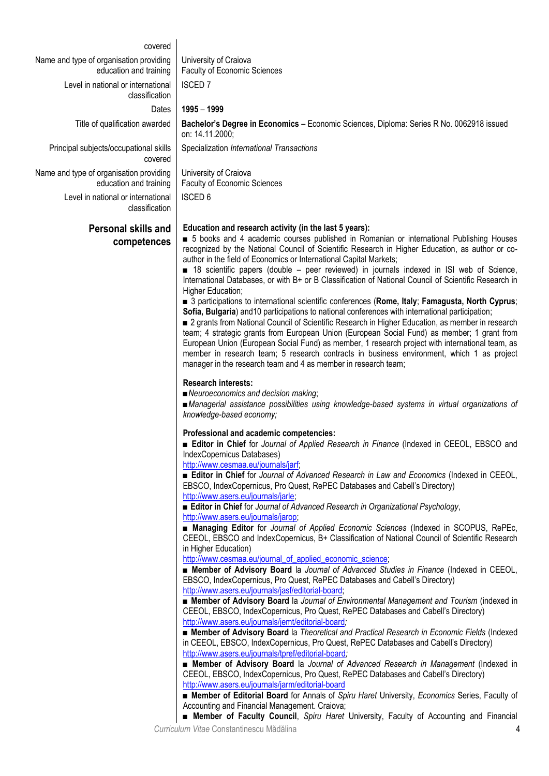#### covered

| Name and type of organisation providing<br>education and training | University of Craiova<br><b>Faculty of Economic Sciences</b>                                                                                        |
|-------------------------------------------------------------------|-----------------------------------------------------------------------------------------------------------------------------------------------------|
| Level in national or international<br>classification              | <b>ISCED 7</b>                                                                                                                                      |
| Dates                                                             | 1995 - 1999                                                                                                                                         |
| Title of qualification awarded                                    | Bachelor's Degree in Economics - Economic Sciences, Diploma: Series R No. 0062918 issued<br>on: 14.11.2000;                                         |
| Principal subjects/occupational skills<br>covered                 | Specialization International Transactions                                                                                                           |
| Name and type of organisation providing<br>education and training | University of Craiova<br><b>Faculty of Economic Sciences</b>                                                                                        |
| Level in national or international<br>classification              | <b>ISCED 6</b>                                                                                                                                      |
| <b>Personal skills and</b><br>competences                         | Education and research activity (in the last 5 years):<br>■ 5 books and 4 academic courses published in Romanian or international Publishing Houses |

recognized by the National Council of Scientific Research in Higher Education, as author or coauthor in the field of Economics or International Capital Markets;

**■** 18 scientific papers (double – peer reviewed) in journals indexed in ISI web of Science, International Databases, or with B+ or B Classification of National Council of Scientific Research in Higher Education;

**■** 3 participations to international scientific conferences (**Rome, Italy**; **Famagusta, North Cyprus**; **Sofia, Bulgaria**) and10 participations to national conferences with international participation;

■ 2 grants from National Council of Scientific Research in Higher Education, as member in research team; 4 strategic grants from European Union (European Social Fund) as member; 1 grant from European Union (European Social Fund) as member, 1 research project with international team, as member in research team; 5 research contracts in business environment, which 1 as project manager in the research team and 4 as member in research team;

#### **Research interests:**

**■***Neuroeconomics and decision making*;

**■***Managerial assistance possibilities using knowledge-based systems in virtual organizations of knowledge-based economy;*

#### **Professional and academic competencies:**

**■ Editor in Chief** for *Journal of Applied Research in Finance* (Indexed in CEEOL, EBSCO and IndexCopernicus Databases)

[http://www.cesmaa.eu/journals/jarf;](http://www.cesmaa.eu/journals/jarf)

**■ Editor in Chief** for *Journal of Advanced Research in Law and Economics* (Indexed in CEEOL, EBSCO, IndexCopernicus, Pro Quest, RePEC Databases and Cabell's Directory) [http://www.asers.eu/journals/jarle;](http://www.asers.eu/journals/jarle)

■ **Editor in Chief** for *Journal of Advanced Research in Organizational Psychology*, [http://www.asers.eu/journals/jarop;](http://www.asers.eu/journals/jarop)

**■ Managing Editor** for *Journal of Applied Economic Sciences* (Indexed in SCOPUS, RePEc, CEEOL, EBSCO and IndexCopernicus, B+ Classification of National Council of Scientific Research in Higher Education)

[http://www.cesmaa.eu/journal\\_of\\_applied\\_economic\\_science;](http://www.cesmaa.eu/journal_of_applied_economic_science)

**■ Member of Advisory Board** la *Journal of Advanced Studies in Finance* (Indexed in CEEOL, EBSCO, IndexCopernicus, Pro Quest, RePEC Databases and Cabell's Directory) [http://www.asers.eu/journals/jasf/editorial-board;](http://www.asers.eu/journals/jasf/editorial-board)

■ **Member of Advisory Board** la *Journal of Environmental Management and Tourism* (indexed in CEEOL, EBSCO, IndexCopernicus, Pro Quest, RePEC Databases and Cabell's Directory) <http://www.asers.eu/journals/jemt/editorial-board>*;*

**■ Member of Advisory Board** la *Theoretical and Practical Research in Economic Fields* (Indexed in CEEOL, EBSCO, IndexCopernicus, Pro Quest, RePEC Databases and Cabell's Directory) <http://www.asers.eu/journals/tpref/editorial-board>*;*

**■ Member of Advisory Board** la *Journal of Advanced Research in Management* (Indexed in CEEOL, EBSCO, IndexCopernicus, Pro Quest, RePEC Databases and Cabell's Directory) <http://www.asers.eu/journals/jarm/editorial-board>

**■ Member of Editorial Board** for Annals of *Spiru Haret* University, *Economics* Series, Faculty of Accounting and Financial Management. Craiova;

■ **Member of Faculty Council**, *Spiru Haret* University, Faculty of Accounting and Financial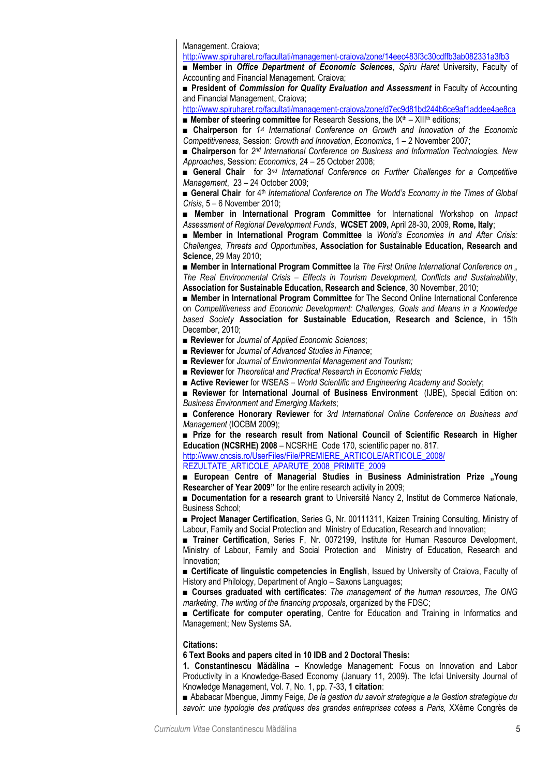Management. Craiova;

<http://www.spiruharet.ro/facultati/management-craiova/zone/14eec483f3c30cdffb3ab082331a3fb3>

■ **Member in** *Office Department of Economic Sciences*, *Spiru Haret* University, Faculty of Accounting and Financial Management. Craiova;

■ **President of** *Commission for Quality Evaluation and Assessment* **in Faculty of Accounting** and Financial Management, Craiova;

<http://www.spiruharet.ro/facultati/management-craiova/zone/d7ec9d81bd244b6ce9af1addee4ae8ca>

■ **Member of steering committee** for Research Sessions, the IX<sup>th</sup> – XIII<sup>th</sup> editions;

■ **Chairperson** for *1 st International Conference on Growth and Innovation of the Economic Competitiveness*, Session: *Growth and Innovation*, *Economics*, 1 – 2 November 2007;

■ **Chairperson** for 2<sup>nd</sup> International Conference on Business and Information Technologies. New *Approaches*, Session: *Economics*, 24 – 25 October 2008;

■ General Chair for 3<sup>nd</sup> International Conference on Further Challenges for a Competitive *Management*, 23 – 24 October 2009;

■ General Chair for 4<sup>th</sup> *International Conference on The World's Economy in the Times of Global Crisis*, 5 – 6 November 2010;

■ **Member in International Program Committee** for International Workshop on *Impact Assessment of Regional Development Funds*, **WCSET 2009,** April 28-30, 2009, **Rome, Italy**;

■ **Member in International Program Committee** la *World's Economies In and After Crisis: Challenges, Threats and Opportunities*, **Association for Sustainable Education, Research and Science**, 29 May 2010;

■ **Member in International Program Committee** la *The First Online International Conference on* " *The Real Environmental Crisis – Effects in Tourism Development, Conflicts and Sustainability*, **Association for Sustainable Education, Research and Science**, 30 November, 2010;

■ **Member in International Program Committee** for The Second Online International Conference on *Competitiveness and Economic Development: Challenges, Goals and Means in a Knowledge based Society* **Association for Sustainable Education, Research and Science**, in 15th December, 2010;

■ **Reviewer** for *Journal of Applied Economic Sciences*;

■ **Reviewer** for *Journal of Advanced Studies in Finance*;

■ **Reviewer** for *Journal of Environmental Management and Tourism;* 

■ **Reviewer** for *Theoretical and Practical Research in Economic Fields;* 

■ **Active Reviewer** for WSEAS – *World Scientific and Engineering Academy and Society*;

■ **Reviewer** for **International Journal of Business Environment** (IJBE), Special Edition on: *Business Environment and Emerging Markets*;

■ **Conference Honorary Reviewer** for *3rd International Online Conference on Business and Management* (IOCBM 2009);

■ **Prize for the research result from National Council of Scientific Research in Higher Education (NCSRHE) 2008** – NCSRHE Code 170, scientific paper no. 817.

[http://www.cncsis.ro/UserFiles/File/PREMIERE\\_ARTICOLE/ARTICOLE\\_2008/](http://www.cncsis.ro/UserFiles/File/PREMIERE_ARTICOLE/ARTICOLE_2008/)

REZULTATE\_ARTICOLE\_APARUTE\_2008\_PRIMITE\_2009

■ European Centre of Managerial Studies in Business Administration Prize "Young **Researcher of Year 2009"** for the entire research activity in 2009;

■ **Documentation for a research grant** to Université Nancy 2, Institut de Commerce Nationale, Business School;

■ **Project Manager Certification**, Series G, Nr. 00111311, Kaizen Training Consulting, Ministry of Labour, Family and Social Protection and Ministry of Education, Research and Innovation;

■ **Trainer Certification**, Series F, Nr. 0072199, Institute for Human Resource Development, Ministry of Labour, Family and Social Protection and Ministry of Education, Research and Innovation;

■ **Certificate of linguistic competencies in English**, Issued by University of Craiova, Faculty of History and Philology, Department of Anglo – Saxons Languages;

■ **Courses graduated with certificates**: *The management of the human resources*, *The ONG marketing*, *The writing of the financing proposals*, organized by the FDSC;

■ **Certificate for computer operating**, Centre for Education and Training in Informatics and Management; New Systems SA.

**Citations:** 

**6 Text Books and papers cited in 10 IDB and 2 Doctoral Thesis:**

**1. Constantinescu Mădălina** – Knowledge Management: Focus on Innovation and Labor Productivity in a Knowledge-Based Economy (January 11, 2009). The Icfai University Journal of Knowledge Management, Vol. 7, No. 1, pp. 7-33, **1 citation**:

■ Ababacar Mbengue, Jimmy Feige, *De la gestion du savoir strategique a la Gestion strategique du savoir: une typologie des pratiques des grandes entreprises cotees a Paris,* XXème Congrès de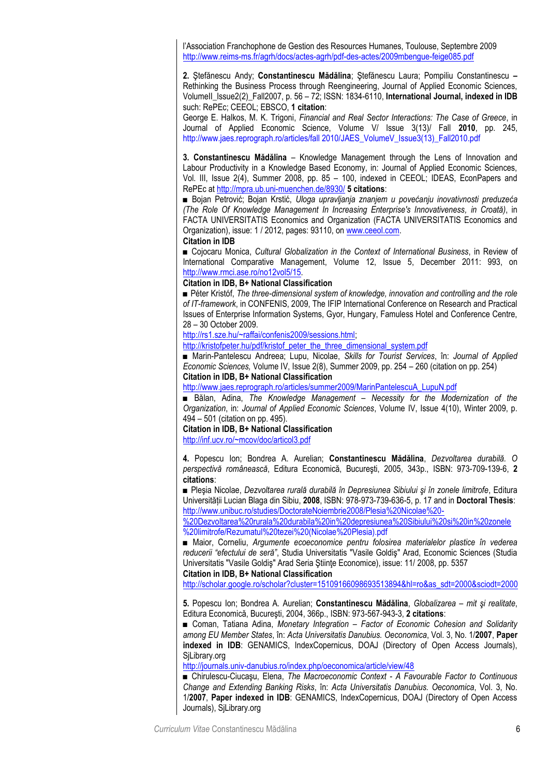l'Association Franchophone de Gestion des Resources Humanes, Toulouse, Septembre 2009 <http://www.reims-ms.fr/agrh/docs/actes-agrh/pdf-des-actes/2009mbengue-feige085.pdf>

**2.** Ştefănescu Andy; **Constantinescu Mădălina**; Ştefănescu Laura; Pompiliu Constantinescu **–** Rethinking the Business Process through Reengineering, Journal of Applied Economic Sciences, VolumeII\_Issue2(2)\_Fall2007, p. 56 – 72; ISSN: 1834-6110, **International Journal, indexed in IDB**  such: RePEc; CEEOL; EBSCO, **1 citation**:

George E. Halkos, M. K. Trigoni, *Financial and Real Sector Interactions: The Case of Greece*, in Journal of Applied Economic Science, Volume V/ Issue 3(13)/ Fall **2010**, pp. 245, http://www.jaes.reprograph.ro/articles/fall 2010/JAES\_VolumeV\_Issue3(13)\_Fall2010.pdf

**3. Constantinescu Mădălina** – Knowledge Management through the Lens of Innovation and Labour Productivity in a Knowledge Based Economy, in: Journal of Applied Economic Sciences, Vol. III, Issue 2(4), Summer 2008, pp. 85 – 100, indexed in CEEOL; IDEAS, EconPapers and RePEc at<http://mpra.ub.uni-muenchen.de/8930/> **5 citations**:

■ Bojan Petrović; Bojan Krstić, *Uloga upravljanja znanjem u povećanju inovativnosti preduzeća (The Role Of Knowledge Management In Increasing Enterprise's Innovativeness, in Croată)*, in FACTA UNIVERSITATIS Economics and Organization (FACTA UNIVERSITATIS Economics and Organization), issue: 1 / 2012, pages: 93110, on [www.ceeol.com.](http://www.ceeol.com/)

**Citation in IDB**

■ Cojocaru Monica, *Cultural Globalization in the Context of International Business*, in Review of International Comparative Management, Volume 12, Issue 5, December 2011: 993, on [http://www.rmci.ase.ro/no12vol5/15.](http://www.rmci.ase.ro/no12vol5/15)

#### **Citation in IDB, B+ National Classification**

■ Péter Kristóf, *The three-dimensional system of knowledge, innovation and controlling and the role of IT-framework*, in CONFENIS, 2009, The IFIP International Conference on Research and Practical Issues of Enterprise Information Systems, Gyor, Hungary, Famuless Hotel and Conference Centre, 28 – 30 October 2009.

[http://rs1.sze.hu/~raffai/confenis2009/sessions.html;](http://rs1.sze.hu/~raffai/confenis2009/sessions.html)

[http://kristofpeter.hu/pdf/kristof\\_peter\\_the\\_three\\_dimensional\\_system.pdf](http://kristofpeter.hu/pdf/kristof_peter_the_three_dimensional_system.pdf)

■ Marin-Pantelescu Andreea; Lupu, Nicolae, *Skills for Tourist Services*, în: *Journal of Applied Economic Sciences,* Volume IV, Issue 2(8), Summer 2009, pp. 254 – 260 (citation on pp. 254) **Citation in IDB, B+ National Classification**

[http://www.jaes.reprograph.ro/articles/summer2009/MarinPantelescuA\\_LupuN.pdf](http://www.jaes.reprograph.ro/articles/summer2009/MarinPantelescuA_LupuN.pdf)

■ Bălan, Adina, *The Knowledge Management – Necessity for the Modernization of the Organization*, in: *Journal of Applied Economic Sciences*, Volume IV, Issue 4(10), Winter 2009, p. 494 – 501 (citation on pp. 495).

#### **Citation in IDB, B+ National Classification**

<http://inf.ucv.ro/~mcov/doc/articol3.pdf>

**4.** Popescu Ion; Bondrea A. Aurelian; **Constantinescu Mădălina**, *Dezvoltarea durabilă. O perspectivă românească*, Editura Economică, Bucureşti, 2005, 343p., ISBN: 973-709-139-6, **2 citations**:

■ Pleşia Nicolae, *Dezvoltarea rurală durabilă în Depresiunea Sibiului şi în zonele limitrofe*, Editura Universității Lucian Blaga din Sibiu, **2008**, ISBN: 978-973-739-636-5, p. 17 and in **Doctoral Thesis**: [http://www.unibuc.ro/studies/DoctorateNoiembrie2008/Plesia%20Nicolae%20-](http://www.unibuc.ro/studies/DoctorateNoiembrie2008/Plesia%20Nicolae%20-%20Dezvoltarea%20rurala%20durabila%20in%20depresiunea%20Sibiului%20si%20in%20zonele)

[%20Dezvoltarea%20rurala%20durabila%20in%20depresiunea%20Sibiului%20si%20in%20zonele](http://www.unibuc.ro/studies/DoctorateNoiembrie2008/Plesia%20Nicolae%20-%20Dezvoltarea%20rurala%20durabila%20in%20depresiunea%20Sibiului%20si%20in%20zonele) %20limitrofe/Rezumatul%20tezei%20(Nicolae%20Plesia).pdf

■ Maior, Corneliu, *Argumente ecoeconomice pentru folosirea materialelor plastice în vederea reducerii "efectului de seră"*, Studia Universitatis "Vasile Goldiş" Arad, Economic Sciences (Studia Universitatis "Vasile Goldiş" Arad Seria Ştiinţe Economice), issue: 11/ 2008, pp. 5357 **Citation in IDB, B+ National Classification**

[http://scholar.google.ro/scholar?cluster=15109166098693513894&hl=ro&as\\_sdt=2000&sciodt=2000](http://scholar.google.ro/scholar?cluster=15109166098693513894&hl=ro&as_sdt=2000&sciodt=2000)

**5.** Popescu Ion; Bondrea A. Aurelian; **Constantinescu Mădălina**, *Globalizarea – mit şi realitate*, Editura Economică, Bucureşti, 2004, 366p., ISBN: 973-567-943-3, **2 citations**:

■ Coman, Tatiana Adina, *Monetary Integration – Factor of Economic Cohesion and Solidarity among EU Member States*, în: *Acta Universitatis Danubius. Oeconomica*, Vol. 3, No. 1/**2007**, **Paper indexed in IDB**: GENAMICS, IndexCopernicus, DOAJ (Directory of Open Access Journals), SjLibrary.org

<http://journals.univ-danubius.ro/index.php/oeconomica/article/view/48>

■ Chirulescu-Ciucaşu, Elena, *The Macroeconomic Context - A Favourable Factor to Continuous Change and Extending Banking Risks*, în: *Acta Universitatis Danubius. Oeconomica*, Vol. 3, No. 1/**2007**, **Paper indexed in IDB**: GENAMICS, IndexCopernicus, DOAJ (Directory of Open Access Journals), SjLibrary.org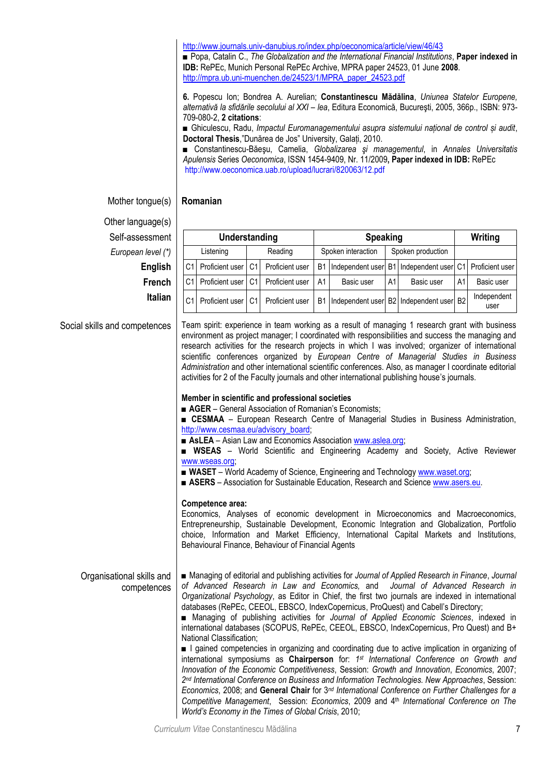<http://www.journals.univ-danubius.ro/index.php/oeconomica/article/view/46/43>

■ Popa, Catalin C., *The Globalization and the International Financial Institutions*, **Paper indexed in IDB:** RePEc, Munich Personal RePEc Archive, MPRA paper 24523, 01 June **2008**. [http://mpra.ub.uni-muenchen.de/24523/1/MPRA\\_paper\\_24523.pdf](http://mpra.ub.uni-muenchen.de/24523/1/MPRA_paper_24523.pdf)

**6.** Popescu Ion; Bondrea A. Aurelian; **Constantinescu Mădălina**, *Uniunea Statelor Europene, alternativă la sfidările secolului al XXI – lea*, Editura Economică, Bucureşti, 2005, 366p., ISBN: 973- 709-080-2, **2 citations**:

■ Ghiculescu, Radu, *Impactul Euromanagementului asupra sistemului național de control și audit*, **Doctoral Thesis**,"Dunărea de Jos" University, Galați, 2010.

■ Constantinescu-Băeşu, Camelia, *Globalizarea şi managementul*, in *Annales Universitatis Apulensis* Series *Oeconomica*, ISSN 1454-9409, Nr. 11/2009**, Paper indexed in IDB:** RePEc http://www.oeconomica.uab.ro/upload/lucrari/820063/12.pdf

Mother tongue(s) **Romanian**

Other language(s)  $Self-assessme$ *European level (\** 

| essment        |                         | Understanding |                   |                 |                    |                | <b>Speaking</b>   |                                         |                                                         |                     | Writing    |  |
|----------------|-------------------------|---------------|-------------------|-----------------|--------------------|----------------|-------------------|-----------------------------------------|---------------------------------------------------------|---------------------|------------|--|
| า level (*)    | Listening               |               | Reading           |                 | Spoken interaction |                | Spoken production |                                         |                                                         |                     |            |  |
| English        |                         | C1I           | Proficient user I | C <sub>1</sub>  | Proficient user    | B <sub>1</sub> |                   |                                         | Independent user B1 Independent user C1 Proficient user |                     |            |  |
| <b>French</b>  |                         | C1            | Proficient user I | C <sub>1</sub>  | Proficient user    | A1             | Basic user        | A1                                      | Basic user                                              | A1                  | Basic user |  |
| <b>Italian</b> | C1<br>Proficient user I |               | C <sub>1</sub>    | Proficient user | <b>B1</b>          |                |                   | Independent user B2 Independent user B2 |                                                         | Independent<br>user |            |  |

Social skills and competences Team spirit: experience in team working as a result of managing 1 research grant with business environment as project manager; I coordinated with responsibilities and success the managing and research activities for the research projects in which I was involved; organizer of international scientific conferences organized by *European Centre of Managerial Studies in Business Administration* and other international scientific conferences. Also, as manager I coordinate editorial activities for 2 of the Faculty journals and other international publishing house's journals.

#### **Member in scientific and professional societies**

■ **AGER** – General Association of Romanian's Economists;

■ **CESMAA** – European Research Centre of Managerial Studies in Business Administration, [http://www.cesmaa.eu/advisory\\_board;](http://www.cesmaa.eu/advisory_board)

■ **AsLEA** – Asian Law and Economics Association [www.aslea.org;](http://www.aslea.org/)

■ **WSEAS** – World Scientific and Engineering Academy and Society, Active Reviewer [www.wseas.org;](http://www.wseas.org/)

- WASET World Academy of Science, Engineering and Technology [www.waset.org;](http://www.waset.org/)
- **ASERS** Association for Sustainable Education, Research and Scienc[e www.asers.eu.](http://www.asers.eu/)

#### **Competence area:**

Economics, Analyses of economic development in Microeconomics and Macroeconomics, Entrepreneurship, Sustainable Development, Economic Integration and Globalization, Portfolio choice, Information and Market Efficiency, International Capital Markets and Institutions, Behavioural Finance, Behaviour of Financial Agents

Organisational skills and competences ■ Managing of editorial and publishing activities for *Journal of Applied Research in Finance*, *Journal of Advanced Research in Law and Economics,* and *Journal of Advanced Research in Organizational Psychology*, as Editor in Chief, the first two journals are indexed in international databases (RePEc, CEEOL, EBSCO, IndexCopernicus, ProQuest) and Cabell's Directory;

> ■ Managing of publishing activities for *Journal of Applied Economic Sciences*, indexed in international databases (SCOPUS, RePEc, CEEOL, EBSCO, IndexCopernicus, Pro Quest) and B+ National Classification;

> ■ I gained competencies in organizing and coordinating due to active implication in organizing of international symposiums as **Chairperson** for: *1 st International Conference on Growth and Innovation of the Economic Competitiveness*, Session: *Growth and Innovation*, *Economics*, 2007; *2 nd International Conference on Business and Information Technologies. New Approaches*, Session: *Economics*, 2008; and **General Chair** for 3 *nd International Conference on Further Challenges for a Competitive Management*, Session: *Economics*, 2009 and 4 th *International Conference on The World's Economy in the Times of Global Crisis*, 2010;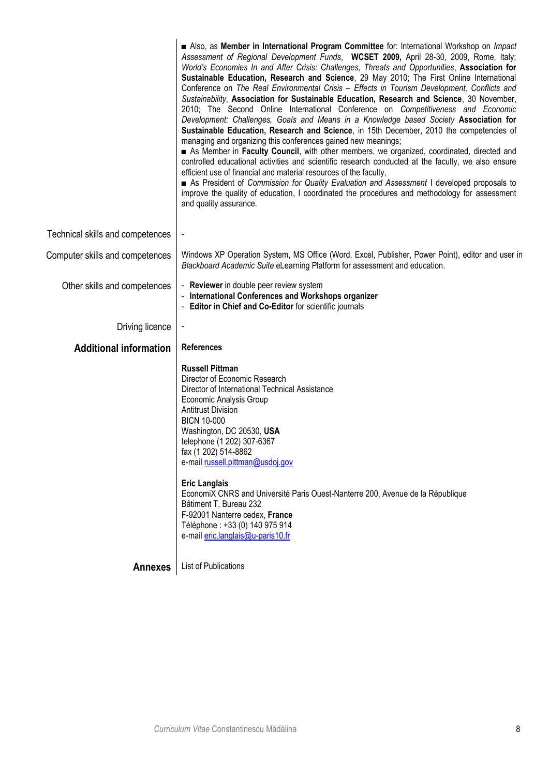|                                  | Also, as Member in International Program Committee for: International Workshop on <i>Impact</i><br>Assessment of Regional Development Funds, WCSET 2009, April 28-30, 2009, Rome, Italy;<br>World's Economies In and After Crisis: Challenges, Threats and Opportunities, Association for<br>Sustainable Education, Research and Science, 29 May 2010; The First Online International<br>Conference on The Real Environmental Crisis - Effects in Tourism Development, Conflicts and<br>Sustainability, Association for Sustainable Education, Research and Science, 30 November,<br>2010; The Second Online International Conference on Competitiveness and Economic<br>Development: Challenges, Goals and Means in a Knowledge based Society Association for<br>Sustainable Education, Research and Science, in 15th December, 2010 the competencies of<br>managing and organizing this conferences gained new meanings;<br>As Member in Faculty Council, with other members, we organized, coordinated, directed and<br>controlled educational activities and scientific research conducted at the faculty, we also ensure<br>efficient use of financial and material resources of the faculty,<br>As President of Commission for Quality Evaluation and Assessment I developed proposals to<br>improve the quality of education, I coordinated the procedures and methodology for assessment<br>and quality assurance. |
|----------------------------------|----------------------------------------------------------------------------------------------------------------------------------------------------------------------------------------------------------------------------------------------------------------------------------------------------------------------------------------------------------------------------------------------------------------------------------------------------------------------------------------------------------------------------------------------------------------------------------------------------------------------------------------------------------------------------------------------------------------------------------------------------------------------------------------------------------------------------------------------------------------------------------------------------------------------------------------------------------------------------------------------------------------------------------------------------------------------------------------------------------------------------------------------------------------------------------------------------------------------------------------------------------------------------------------------------------------------------------------------------------------------------------------------------------------------------|
| Technical skills and competences |                                                                                                                                                                                                                                                                                                                                                                                                                                                                                                                                                                                                                                                                                                                                                                                                                                                                                                                                                                                                                                                                                                                                                                                                                                                                                                                                                                                                                            |
| Computer skills and competences  | Windows XP Operation System, MS Office (Word, Excel, Publisher, Power Point), editor and user in<br>Blackboard Academic Suite eLearning Platform for assessment and education.                                                                                                                                                                                                                                                                                                                                                                                                                                                                                                                                                                                                                                                                                                                                                                                                                                                                                                                                                                                                                                                                                                                                                                                                                                             |
| Other skills and competences     | - Reviewer in double peer review system<br>- International Conferences and Workshops organizer<br>- Editor in Chief and Co-Editor for scientific journals                                                                                                                                                                                                                                                                                                                                                                                                                                                                                                                                                                                                                                                                                                                                                                                                                                                                                                                                                                                                                                                                                                                                                                                                                                                                  |
| Driving licence                  |                                                                                                                                                                                                                                                                                                                                                                                                                                                                                                                                                                                                                                                                                                                                                                                                                                                                                                                                                                                                                                                                                                                                                                                                                                                                                                                                                                                                                            |
| <b>Additional information</b>    | <b>References</b>                                                                                                                                                                                                                                                                                                                                                                                                                                                                                                                                                                                                                                                                                                                                                                                                                                                                                                                                                                                                                                                                                                                                                                                                                                                                                                                                                                                                          |
|                                  | <b>Russell Pittman</b><br>Director of Economic Research<br>Director of International Technical Assistance<br>Economic Analysis Group<br><b>Antitrust Division</b><br><b>BICN 10-000</b><br>Washington, DC 20530, USA<br>telephone (1 202) 307-6367<br>fax (1 202) 514-8862<br>e-mail russell.pittman@usdoj.gov                                                                                                                                                                                                                                                                                                                                                                                                                                                                                                                                                                                                                                                                                                                                                                                                                                                                                                                                                                                                                                                                                                             |
|                                  | <b>Eric Langlais</b><br>EconomiX CNRS and Université Paris Ouest-Nanterre 200, Avenue de la République<br>Bâtiment T, Bureau 232<br>F-92001 Nanterre cedex, France<br>Téléphone : +33 (0) 140 975 914<br>e-mail eric.langlais@u-paris10.fr                                                                                                                                                                                                                                                                                                                                                                                                                                                                                                                                                                                                                                                                                                                                                                                                                                                                                                                                                                                                                                                                                                                                                                                 |
| <b>Annexes</b>                   | List of Publications                                                                                                                                                                                                                                                                                                                                                                                                                                                                                                                                                                                                                                                                                                                                                                                                                                                                                                                                                                                                                                                                                                                                                                                                                                                                                                                                                                                                       |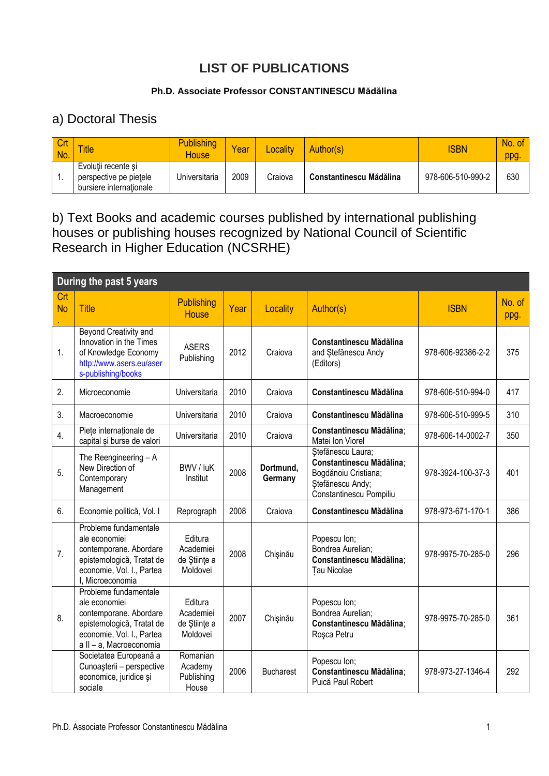### **LIST OF PUBLICATIONS**

### **Ph.D. Associate Professor CONSTANTINESCU Mădălina**

### a) Doctoral Thesis

| Crt<br>No. | <b>Title</b>                                                             | <b>Publishing</b><br>House | Year | _ocality | Author(s)               | <b>ISBN</b>       | No. of<br>ppg |
|------------|--------------------------------------------------------------------------|----------------------------|------|----------|-------------------------|-------------------|---------------|
| . .        | Evoluții recente și<br>perspective pe pietele<br>bursiere internationale | Universitaria              | 2009 | Craiova  | Constantinescu Mădălina | 978-606-510-990-2 | 630           |

b) Text Books and academic courses published by international publishing houses or publishing houses recognized by National Council of Scientific Research in Higher Education (NCSRHE)

|                  | During the past 5 years                                                                                                                               |                                                  |      |                      |                                                                                                                      |                   |                |
|------------------|-------------------------------------------------------------------------------------------------------------------------------------------------------|--------------------------------------------------|------|----------------------|----------------------------------------------------------------------------------------------------------------------|-------------------|----------------|
| Crt<br><b>No</b> | <b>Title</b>                                                                                                                                          | <b>Publishing</b><br><b>House</b>                | Year | Locality             | Author(s)                                                                                                            | <b>ISBN</b>       | No. of<br>ppg. |
| 1.               | Beyond Creativity and<br>Innovation in the Times<br>of Knowledge Economy<br>http://www.asers.eu/aser<br>s-publishing/books                            | <b>ASERS</b><br>Publishing                       | 2012 | Craiova              | <b>Constantinescu Mădălina</b><br>and Stefănescu Andy<br>(Editors)                                                   | 978-606-92386-2-2 | 375            |
| 2.               | Microeconomie                                                                                                                                         | Universitaria                                    | 2010 | Craiova              | <b>Constantinescu Mădălina</b>                                                                                       | 978-606-510-994-0 | 417            |
| 3.               | Macroeconomie                                                                                                                                         | Universitaria                                    | 2010 | Craiova              | <b>Constantinescu Mădălina</b>                                                                                       | 978-606-510-999-5 | 310            |
| 4.               | Piețe internaționale de<br>capital și burse de valori                                                                                                 | Universitaria                                    | 2010 | Craiova              | Constantinescu Mădălina;<br>Matei Ion Viorel                                                                         | 978-606-14-0002-7 | 350            |
| 5.               | The Reengineering $- A$<br>New Direction of<br>Contemporary<br>Management                                                                             | BWV / luK<br>Institut                            | 2008 | Dortmund,<br>Germany | Stefănescu Laura;<br>Constantinescu Mădălina;<br>Bogdănoiu Cristiana;<br>Stefănescu Andy;<br>Constantinescu Pompiliu | 978-3924-100-37-3 | 401            |
| 6.               | Economie politică, Vol. I                                                                                                                             | Reprograph                                       | 2008 | Craiova              | <b>Constantinescu Mădălina</b>                                                                                       | 978-973-671-170-1 | 386            |
| 7.               | Probleme fundamentale<br>ale economiei<br>contemporane. Abordare<br>epistemologică, Tratat de<br>economie, Vol. I., Partea<br>I, Microeconomia        | Editura<br>Academiei<br>de Stiințe a<br>Moldovei | 2008 | Chișinău             | Popescu Ion;<br>Bondrea Aurelian;<br>Constantinescu Mădălina;<br><b>Tau Nicolae</b>                                  | 978-9975-70-285-0 | 296            |
| 8.               | Probleme fundamentale<br>ale economiei<br>contemporane. Abordare<br>epistemologică, Tratat de<br>economie, Vol. I., Partea<br>a II - a, Macroeconomia | Editura<br>Academiei<br>de Stiințe a<br>Moldovei | 2007 | Chișinău             | Popescu Ion;<br>Bondrea Aurelian;<br>Constantinescu Mădălina;<br>Roșca Petru                                         | 978-9975-70-285-0 | 361            |
|                  | Societatea Europeană a<br>Cunoașterii - perspective<br>economice, juridice și<br>sociale                                                              | Romanian<br>Academy<br>Publishing<br>House       | 2006 | <b>Bucharest</b>     | Popescu Ion;<br>Constantinescu Mădălina;<br>Puică Paul Robert                                                        | 978-973-27-1346-4 | 292            |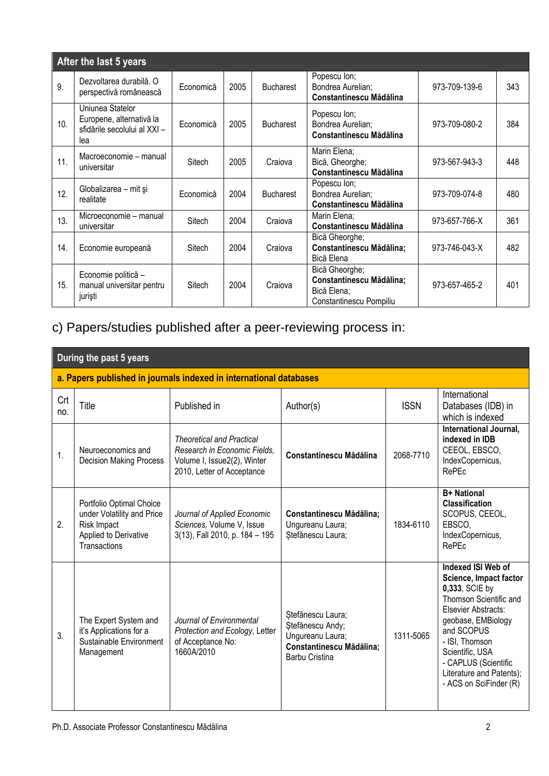|     | After the last 5 years                                                              |           |      |                  |                                                                                             |               |     |
|-----|-------------------------------------------------------------------------------------|-----------|------|------------------|---------------------------------------------------------------------------------------------|---------------|-----|
| 9.  | Dezvoltarea durabilă. O<br>perspectivă românească                                   | Economică | 2005 | <b>Bucharest</b> | Popescu Ion;<br>Bondrea Aurelian;<br>Constantinescu Mădălina                                | 973-709-139-6 | 343 |
| 10. | Uniunea Statelor<br>Europene, alternativă la<br>sfidările secolului al XXI -<br>lea | Economică | 2005 | <b>Bucharest</b> | Popescu Ion;<br>Bondrea Aurelian;<br>Constantinescu Mădălina                                | 973-709-080-2 | 384 |
| 11. | Macroeconomie – manual<br>universitar                                               | Sitech    | 2005 | Craiova          | Marin Elena;<br>Bică, Gheorghe;<br><b>Constantinescu Mădălina</b>                           | 973-567-943-3 | 448 |
| 12. | Globalizarea - mit și<br>realitate                                                  | Economică | 2004 | <b>Bucharest</b> | Popescu Ion;<br>Bondrea Aurelian;<br>Constantinescu Mădălina                                | 973-709-074-8 | 480 |
| 13. | Microeconomie - manual<br>universitar                                               | Sitech    | 2004 | Craiova          | Marin Elena;<br>Constantinescu Mădălina                                                     | 973-657-766-X | 361 |
| 14. | Economie europeană                                                                  | Sitech    | 2004 | Craiova          | Bică Gheorghe;<br><b>Constantinescu Mădălina;</b><br>Bică Elena                             | 973-746-043-X | 482 |
| 15. | Economie politică -<br>manual universitar pentru<br>jurişti                         | Sitech    | 2004 | Craiova          | Bică Gheorghe;<br><b>Constantinescu Mădălina;</b><br>Bică Elena;<br>Constantinescu Pompiliu | 973-657-465-2 | 401 |

## c) Papers/studies published after a peer-reviewing process in:

|            | During the past 5 years                                                                                               |                                                                                                                               |                                                                                                         |             |                                                                                                                                                                                                                                                                        |  |  |  |  |  |
|------------|-----------------------------------------------------------------------------------------------------------------------|-------------------------------------------------------------------------------------------------------------------------------|---------------------------------------------------------------------------------------------------------|-------------|------------------------------------------------------------------------------------------------------------------------------------------------------------------------------------------------------------------------------------------------------------------------|--|--|--|--|--|
|            | a. Papers published in journals indexed in international databases                                                    |                                                                                                                               |                                                                                                         |             |                                                                                                                                                                                                                                                                        |  |  |  |  |  |
| Crt<br>no. | Title                                                                                                                 | Published in                                                                                                                  | Author(s)                                                                                               | <b>ISSN</b> | International<br>Databases (IDB) in<br>which is indexed                                                                                                                                                                                                                |  |  |  |  |  |
| 1.         | Neuroeconomics and<br><b>Decision Making Process</b>                                                                  | <b>Theoretical and Practical</b><br>Research in Economic Fields.<br>Volume I, Issue2(2), Winter<br>2010, Letter of Acceptance | Constantinescu Mădălina                                                                                 | 2068-7710   | International Journal,<br>indexed in IDB<br>CEEOL, EBSCO,<br>IndexCopernicus,<br>RePEc                                                                                                                                                                                 |  |  |  |  |  |
| 2.         | Portfolio Optimal Choice<br>under Volatility and Price<br>Risk Impact<br>Applied to Derivative<br><b>Transactions</b> | Journal of Applied Economic<br>Sciences, Volume V, Issue<br>3(13), Fall 2010, p. 184 - 195                                    | <b>Constantinescu Mădălina:</b><br>Ungureanu Laura;<br>Ștefănescu Laura;                                | 1834-6110   | <b>B+ National</b><br><b>Classification</b><br>SCOPUS, CEEOL,<br>EBSCO,<br>IndexCopernicus,<br>RePEc                                                                                                                                                                   |  |  |  |  |  |
| 3.         | The Expert System and<br>it's Applications for a<br>Sustainable Environment<br>Management                             | Journal of Environmental<br>Protection and Ecology, Letter<br>of Acceptance No:<br>1660A/2010                                 | Stefănescu Laura;<br>Stefănescu Andy;<br>Ungureanu Laura;<br>Constantinescu Mădălina;<br>Barbu Cristina | 1311-5065   | Indexed ISI Web of<br>Science, Impact factor<br>0,333, SCIE by<br>Thomson Scientific and<br>Elsevier Abstracts:<br>geobase, EMBiology<br>and SCOPUS<br>- ISI, Thomson<br>Scientific, USA<br>- CAPLUS (Scientific<br>Literature and Patents);<br>- ACS on SciFinder (R) |  |  |  |  |  |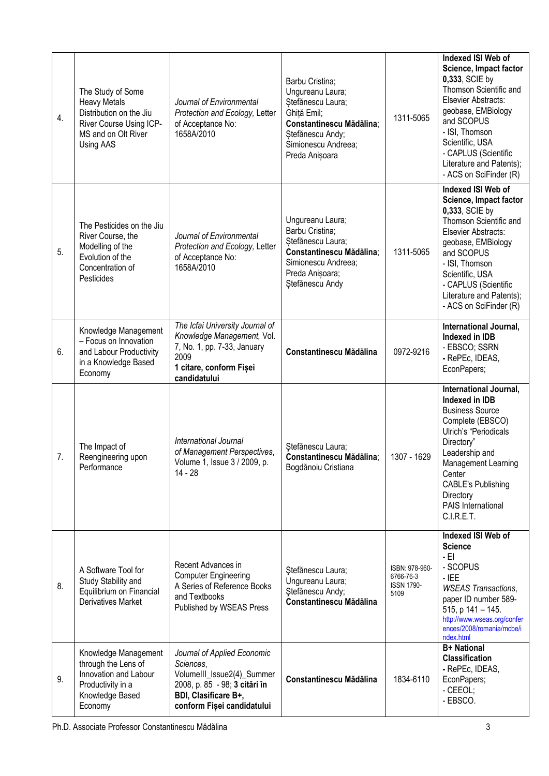| 4. | The Study of Some<br><b>Heavy Metals</b><br>Distribution on the Jiu<br>River Course Using ICP-<br>MS and on Olt River<br>Using AAS | Journal of Environmental<br>Protection and Ecology, Letter<br>of Acceptance No:<br>1658A/2010                                                                 | Barbu Cristina;<br>Ungureanu Laura;<br>Ștefănescu Laura;<br>Ghiță Emil;<br>Constantinescu Mădălina;<br>Stefănescu Andy;<br>Simionescu Andreea;<br>Preda Anișoara | 1311-5065                                                | Indexed ISI Web of<br>Science, Impact factor<br>0,333, SCIE by<br>Thomson Scientific and<br>Elsevier Abstracts:<br>geobase, EMBiology<br>and SCOPUS<br>- ISI, Thomson<br>Scientific, USA<br>- CAPLUS (Scientific<br>Literature and Patents);<br>- ACS on SciFinder (R) |
|----|------------------------------------------------------------------------------------------------------------------------------------|---------------------------------------------------------------------------------------------------------------------------------------------------------------|------------------------------------------------------------------------------------------------------------------------------------------------------------------|----------------------------------------------------------|------------------------------------------------------------------------------------------------------------------------------------------------------------------------------------------------------------------------------------------------------------------------|
| 5. | The Pesticides on the Jiu<br>River Course, the<br>Modelling of the<br>Evolution of the<br>Concentration of<br>Pesticides           | Journal of Environmental<br>Protection and Ecology, Letter<br>of Acceptance No:<br>1658A/2010                                                                 | Ungureanu Laura;<br>Barbu Cristina;<br>Stefănescu Laura;<br>Constantinescu Mădălina;<br>Simionescu Andreea;<br>Preda Anișoara;<br>Stefänescu Andy                | 1311-5065                                                | Indexed ISI Web of<br>Science, Impact factor<br>0,333, SCIE by<br>Thomson Scientific and<br>Elsevier Abstracts:<br>geobase, EMBiology<br>and SCOPUS<br>- ISI, Thomson<br>Scientific, USA<br>- CAPLUS (Scientific<br>Literature and Patents);<br>- ACS on SciFinder (R) |
| 6. | Knowledge Management<br>- Focus on Innovation<br>and Labour Productivity<br>in a Knowledge Based<br>Economy                        | The Icfai University Journal of<br>Knowledge Management, Vol.<br>7, No. 1, pp. 7-33, January<br>2009<br>1 citare, conform Fișei<br>candidatului               | Constantinescu Mădălina                                                                                                                                          | 0972-9216                                                | International Journal,<br>Indexed in IDB<br>- EBSCO; SSRN<br>- RePEc, IDEAS,<br>EconPapers;                                                                                                                                                                            |
| 7. | The Impact of<br>Reengineering upon<br>Performance                                                                                 | International Journal<br>of Management Perspectives,<br>Volume 1, Issue 3 / 2009, p.<br>$14 - 28$                                                             | Ștefănescu Laura;<br>Constantinescu Mădălina;<br>Bogdănoiu Cristiana                                                                                             | 1307 - 1629                                              | International Journal,<br>Indexed in IDB<br><b>Business Source</b><br>Complete (EBSCO)<br>Ulrich's "Periodicals<br>Directory"<br>Leadership and<br>Management Learning<br>Center<br><b>CABLE's Publishing</b><br>Directory<br>PAIS International<br>C.I.R.E.T.         |
| 8. | A Software Tool for<br>Study Stability and<br>Equilibrium on Financial<br>Derivatives Market                                       | Recent Advances in<br><b>Computer Engineering</b><br>A Series of Reference Books<br>and Textbooks<br>Published by WSEAS Press                                 | Ștefănescu Laura;<br>Ungureanu Laura;<br>Stefănescu Andy;<br>Constantinescu Mădălina                                                                             | ISBN: 978-960-<br>6766-76-3<br><b>ISSN 1790-</b><br>5109 | Indexed ISI Web of<br><b>Science</b><br>$-EI$<br>- SCOPUS<br>$-$ IEE<br><b>WSEAS Transactions,</b><br>paper ID number 589-<br>515, p $141 - 145$ .<br>http://www.wseas.org/confer<br>ences/2008/romania/mcbe/i<br>ndex.html                                            |
| 9. | Knowledge Management<br>through the Lens of<br>Innovation and Labour<br>Productivity in a<br>Knowledge Based<br>Economy            | Journal of Applied Economic<br>Sciences,<br>VolumeIII_Issue2(4)_Summer<br>2008, p. 85 - 98; 3 citări în<br>BDI, Clasificare B+,<br>conform Fișei candidatului | Constantinescu Mădălina                                                                                                                                          | 1834-6110                                                | <b>B+ National</b><br>Classification<br>- RePEc, IDEAS,<br>EconPapers;<br>- CEEOL;<br>- EBSCO.                                                                                                                                                                         |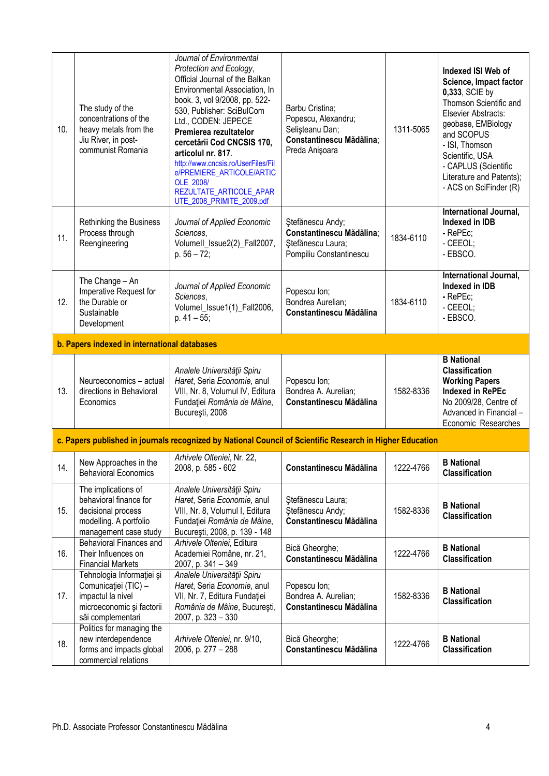| 10. | The study of the<br>concentrations of the<br>heavy metals from the<br>Jiu River, in post-<br>communist Romania                                        | Journal of Environmental<br>Protection and Ecology,<br>Official Journal of the Balkan<br>Environmental Association, In<br>book. 3, vol 9/2008, pp. 522-<br>530, Publisher: SciBulCom<br>Ltd., CODEN: JEPECE<br>Premierea rezultatelor<br>cercetării Cod CNCSIS 170,<br>articolul nr. 817.<br>http://www.cncsis.ro/UserFiles/Fil<br>e/PREMIERE_ARTICOLE/ARTIC<br>OLE_2008/<br>REZULTATE_ARTICOLE_APAR<br>UTE_2008_PRIMITE_2009.pdf | Barbu Cristina;<br>Popescu, Alexandru;<br>Selisteanu Dan;<br>Constantinescu Mădălina;<br>Preda Anişoara | 1311-5065 | Indexed ISI Web of<br>Science, Impact factor<br>0,333, SCIE by<br>Thomson Scientific and<br>Elsevier Abstracts:<br>geobase, EMBiology<br>and SCOPUS<br>- ISI, Thomson<br>Scientific, USA<br>- CAPLUS (Scientific<br>Literature and Patents);<br>- ACS on SciFinder (R) |
|-----|-------------------------------------------------------------------------------------------------------------------------------------------------------|-----------------------------------------------------------------------------------------------------------------------------------------------------------------------------------------------------------------------------------------------------------------------------------------------------------------------------------------------------------------------------------------------------------------------------------|---------------------------------------------------------------------------------------------------------|-----------|------------------------------------------------------------------------------------------------------------------------------------------------------------------------------------------------------------------------------------------------------------------------|
| 11. | <b>Rethinking the Business</b><br>Process through<br>Reengineering                                                                                    | Journal of Applied Economic<br>Sciences,<br>VolumeII_Issue2(2)_Fall2007,<br>$p. 56 - 72;$                                                                                                                                                                                                                                                                                                                                         | Ştefănescu Andy;<br>Constantinescu Mădălina;<br>Stefănescu Laura;<br>Pompiliu Constantinescu            | 1834-6110 | International Journal,<br>Indexed in IDB<br>- RePEc;<br>- CEEOL;<br>- EBSCO.                                                                                                                                                                                           |
| 12. | The Change - An<br>Imperative Request for<br>the Durable or<br>Sustainable<br>Development                                                             | Journal of Applied Economic<br>Sciences,<br>Volumel_Issue1(1)_Fall2006,<br>$p.41 - 55$ ;                                                                                                                                                                                                                                                                                                                                          | Popescu Ion;<br>Bondrea Aurelian;<br>Constantinescu Mădălina                                            | 1834-6110 | International Journal,<br>Indexed in IDB<br>- RePEc;<br>- CEEOL;<br>- EBSCO.                                                                                                                                                                                           |
|     | b. Papers indexed in international databases                                                                                                          |                                                                                                                                                                                                                                                                                                                                                                                                                                   |                                                                                                         |           |                                                                                                                                                                                                                                                                        |
| 13. | Neuroeconomics - actual<br>directions in Behavioral                                                                                                   | Analele Universității Spiru<br>Haret, Seria Economie, anul<br>VIII, Nr. 8, Volumul IV, Editura                                                                                                                                                                                                                                                                                                                                    | Popescu Ion;<br>Bondrea A. Aurelian;<br>Constantinescu Mădălina                                         | 1582-8336 | <b>B</b> National<br><b>Classification</b><br><b>Working Papers</b><br><b>Indexed in RePEc</b>                                                                                                                                                                         |
|     | Economics                                                                                                                                             | Fundației România de Mâine,<br>București, 2008                                                                                                                                                                                                                                                                                                                                                                                    |                                                                                                         |           | No 2009/28, Centre of<br>Advanced in Financial-<br>Economic Researches                                                                                                                                                                                                 |
|     |                                                                                                                                                       | c. Papers published in journals recognized by National Council of Scientific Research in Higher Education                                                                                                                                                                                                                                                                                                                         |                                                                                                         |           |                                                                                                                                                                                                                                                                        |
| 14. | New Approaches in the<br><b>Behavioral Economics</b>                                                                                                  | Arhivele Olteniei, Nr. 22,<br>2008, p. 585 - 602                                                                                                                                                                                                                                                                                                                                                                                  | <b>Constantinescu Mădălina</b>                                                                          | 1222-4766 | <b>B</b> National<br>Classification                                                                                                                                                                                                                                    |
| 15. | The implications of<br>behavioral finance for<br>decisional process<br>modelling. A portfolio                                                         | Analele Universității Spiru<br>Haret, Seria Economie, anul<br>VIII, Nr. 8, Volumul I, Editura<br>Fundației România de Mâine,<br>București, 2008, p. 139 - 148                                                                                                                                                                                                                                                                     | Ștefănescu Laura;<br>Ştefănescu Andy;<br><b>Constantinescu Mădălina</b>                                 | 1582-8336 | <b>B</b> National<br><b>Classification</b>                                                                                                                                                                                                                             |
| 16. | management case study<br>Behavioral Finances and<br>Their Influences on<br><b>Financial Markets</b>                                                   | Arhivele Olteniei, Editura<br>Academiei Române, nr. 21,<br>2007, p. 341 - 349                                                                                                                                                                                                                                                                                                                                                     | Bică Gheorghe;<br>Constantinescu Mădălina                                                               | 1222-4766 | <b>B</b> National<br>Classification                                                                                                                                                                                                                                    |
| 17. | Tehnologia Informației și<br>Comunicației (TIC) -<br>impactul la nivel<br>microeconomic și factorii<br>săi complementari<br>Politics for managing the | Analele Universității Spiru<br>Haret, Seria Economie, anul<br>VII, Nr. 7, Editura Fundației<br>România de Mâine, București,<br>2007, p. 323 - 330                                                                                                                                                                                                                                                                                 | Popescu Ion;<br>Bondrea A. Aurelian;<br>Constantinescu Mădălina                                         | 1582-8336 | <b>B</b> National<br><b>Classification</b>                                                                                                                                                                                                                             |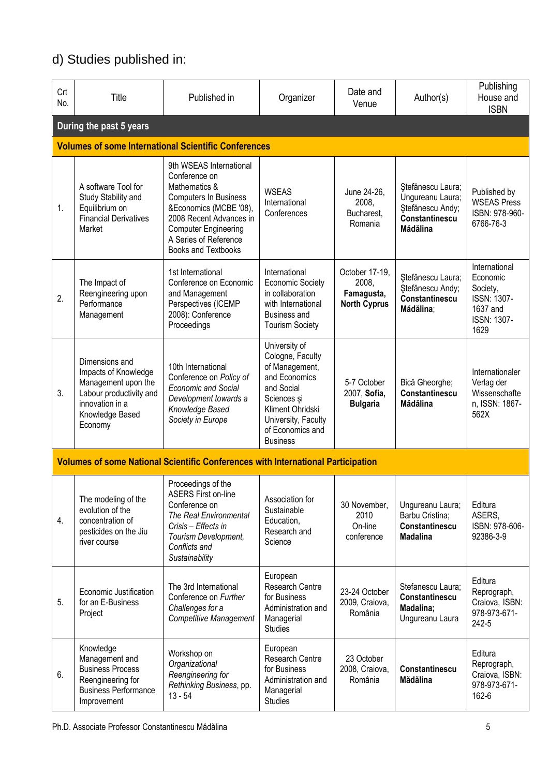# d) Studies published in:

| Crt<br>No. | Title                                                                                                                                     | Published in                                                                                                                                                                                                                  | Organizer                                                                                                                                                                           | Date and<br>Venue                                            | Author(s)                                                                               | Publishing<br>House and<br><b>ISBN</b>                                                         |  |  |  |  |  |
|------------|-------------------------------------------------------------------------------------------------------------------------------------------|-------------------------------------------------------------------------------------------------------------------------------------------------------------------------------------------------------------------------------|-------------------------------------------------------------------------------------------------------------------------------------------------------------------------------------|--------------------------------------------------------------|-----------------------------------------------------------------------------------------|------------------------------------------------------------------------------------------------|--|--|--|--|--|
|            | During the past 5 years                                                                                                                   |                                                                                                                                                                                                                               |                                                                                                                                                                                     |                                                              |                                                                                         |                                                                                                |  |  |  |  |  |
|            | <b>Volumes of some International Scientific Conferences</b>                                                                               |                                                                                                                                                                                                                               |                                                                                                                                                                                     |                                                              |                                                                                         |                                                                                                |  |  |  |  |  |
| 1.         | A software Tool for<br>Study Stability and<br>Equilibrium on<br><b>Financial Derivatives</b><br>Market                                    | 9th WSEAS International<br>Conference on<br>Mathematics &<br>Computers In Business<br>&Economics (MCBE '08),<br>2008 Recent Advances in<br><b>Computer Engineering</b><br>A Series of Reference<br><b>Books and Textbooks</b> | <b>WSEAS</b><br>International<br>Conferences                                                                                                                                        | June 24-26.<br>2008,<br>Bucharest,<br>Romania                | Ștefănescu Laura;<br>Ungureanu Laura;<br>Stefănescu Andy;<br>Constantinescu<br>Mădălina | Published by<br><b>WSEAS Press</b><br>ISBN: 978-960-<br>6766-76-3                              |  |  |  |  |  |
| 2.         | The Impact of<br>Reengineering upon<br>Performance<br>Management                                                                          | 1st International<br>Conference on Economic<br>and Management<br>Perspectives (ICEMP<br>2008): Conference<br>Proceedings                                                                                                      | International<br><b>Economic Society</b><br>in collaboration<br>with International<br><b>Business and</b><br><b>Tourism Society</b>                                                 | October 17-19,<br>2008,<br>Famagusta,<br><b>North Cyprus</b> | Ștefănescu Laura;<br>Stefănescu Andy;<br>Constantinescu<br>Mădălina;                    | International<br>Economic<br>Society,<br><b>ISSN: 1307-</b><br>1637 and<br>ISSN: 1307-<br>1629 |  |  |  |  |  |
| 3.         | Dimensions and<br>Impacts of Knowledge<br>Management upon the<br>Labour productivity and<br>innovation in a<br>Knowledge Based<br>Economy | 10th International<br>Conference on Policy of<br><b>Economic and Social</b><br>Development towards a<br>Knowledge Based<br>Society in Europe                                                                                  | University of<br>Cologne, Faculty<br>of Management,<br>and Economics<br>and Social<br>Sciences și<br>Kliment Ohridski<br>University, Faculty<br>of Economics and<br><b>Business</b> | 5-7 October<br>2007, Sofia,<br><b>Bulgaria</b>               | Bică Gheorghe;<br>Constantinescu<br><b>Mădălina</b>                                     | Internationaler<br>Verlag der<br>Wissenschafte<br>n, ISSN: 1867-<br>562X                       |  |  |  |  |  |
|            |                                                                                                                                           | <b>Volumes of some National Scientific Conferences with International Participation</b>                                                                                                                                       |                                                                                                                                                                                     |                                                              |                                                                                         |                                                                                                |  |  |  |  |  |
| 4.         | The modeling of the<br>evolution of the<br>concentration of<br>pesticides on the Jiu<br>river course                                      | Proceedings of the<br><b>ASERS First on-line</b><br>Conference on<br>The Real Environmental<br>Crisis - Effects in<br>Tourism Development,<br>Conflicts and<br>Sustainability                                                 | Association for<br>Sustainable<br>Education,<br>Research and<br>Science                                                                                                             | 30 November,<br>2010<br>On-line<br>conference                | Ungureanu Laura;<br>Barbu Cristina;<br>Constantinescu<br><b>Madalina</b>                | Editura<br>ASERS,<br>ISBN: 978-606-<br>92386-3-9                                               |  |  |  |  |  |
| 5.         | Economic Justification<br>for an E-Business<br>Project                                                                                    | The 3rd International<br>Conference on Further<br>Challenges for a<br><b>Competitive Management</b>                                                                                                                           | European<br>Research Centre<br>for Business<br>Administration and<br>Managerial<br><b>Studies</b>                                                                                   | 23-24 October<br>2009, Craiova,<br>România                   | Stefanescu Laura;<br>Constantinescu<br>Madalina;<br>Ungureanu Laura                     | Editura<br>Reprograph,<br>Craiova, ISBN:<br>978-973-671-<br>242-5                              |  |  |  |  |  |
| 6.         | Knowledge<br>Management and<br><b>Business Process</b><br>Reengineering for<br><b>Business Performance</b><br>Improvement                 | Workshop on<br>Organizational<br>Reengineering for<br>Rethinking Business, pp.<br>$13 - 54$                                                                                                                                   | European<br>Research Centre<br>for Business<br>Administration and<br>Managerial<br><b>Studies</b>                                                                                   | 23 October<br>2008, Craiova,<br>România                      | Constantinescu<br>Mădălina                                                              | Editura<br>Reprograph,<br>Craiova, ISBN:<br>978-973-671-<br>162-6                              |  |  |  |  |  |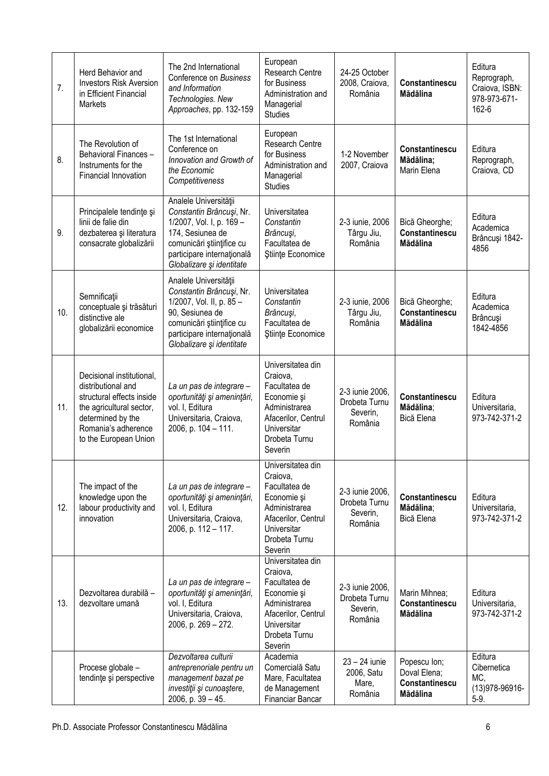| 7.  | Herd Behavior and<br><b>Investors Risk Aversion</b><br>in Efficient Financial<br>Markets                                                                                      | The 2nd International<br>Conference on Business<br>and Information<br>Technologies. New<br>Approaches, pp. 132-159                                                                        | European<br>Research Centre<br>for Business<br>Administration and<br>Managerial<br><b>Studies</b>                                                | 24-25 October<br>2008, Craiova,<br>România              | Constantinescu<br><b>Mădălina</b>                          | Editura<br>Reprograph,<br>Craiova, ISBN:<br>978-973-671-<br>162-6 |
|-----|-------------------------------------------------------------------------------------------------------------------------------------------------------------------------------|-------------------------------------------------------------------------------------------------------------------------------------------------------------------------------------------|--------------------------------------------------------------------------------------------------------------------------------------------------|---------------------------------------------------------|------------------------------------------------------------|-------------------------------------------------------------------|
| 8.  | The Revolution of<br>Behavioral Finances-<br>Instruments for the<br>Financial Innovation                                                                                      | The 1st International<br>Conference on<br>Innovation and Growth of<br>the Economic<br>Competitiveness                                                                                     | European<br>Research Centre<br>for Business<br>Administration and<br>Managerial<br><b>Studies</b>                                                | 1-2 November<br>2007, Craiova                           | Constantinescu<br>Mădălina;<br>Marin Elena                 | Editura<br>Reprograph,<br>Craiova, CD                             |
| 9.  | Principalele tendințe și<br>linii de falie din<br>dezbaterea și literatura<br>consacrate globalizării                                                                         | Analele Universității<br>Constantin Brâncuși, Nr.<br>1/2007, Vol. I, p. 169 -<br>174, Sesiunea de<br>comunicări științifice cu<br>participare internațională<br>Globalizare și identitate | Universitatea<br>Constantin<br>Brâncuși,<br>Facultatea de<br>Stiinte Economice                                                                   | 2-3 iunie, 2006<br>Târgu Jiu,<br>România                | Bică Gheorghe;<br>Constantinescu<br><b>Mădălina</b>        | Editura<br>Academica<br>Brâncuși 1842-<br>4856                    |
| 10. | Semnificații<br>conceptuale și trăsături<br>distinctive ale<br>globalizării economice                                                                                         | Analele Universității<br>Constantin Brâncuși, Nr.<br>1/2007, Vol. II, p. 85 -<br>90, Sesiunea de<br>comunicări științifice cu<br>participare internațională<br>Globalizare și identitate  | Universitatea<br>Constantin<br>Brâncuși,<br>Facultatea de<br>Stiințe Economice                                                                   | 2-3 iunie, 2006<br>Târgu Jiu,<br>România                | Bică Gheorghe;<br>Constantinescu<br>Mădălina               | Editura<br>Academica<br>Brâncuși<br>1842-4856                     |
| 11. | Decisional institutional,<br>distributional and<br>structural effects inside<br>the agricultural sector,<br>determined by the<br>Romania's adherence<br>to the European Union | La un pas de integrare -<br>oportunități și amenințări,<br>vol. I, Editura<br>Universitaria, Craiova,<br>2006, p. 104 - 111.                                                              | Universitatea din<br>Craiova,<br>Facultatea de<br>Economie și<br>Administrarea<br>Afacerilor, Centrul<br>Universitar<br>Drobeta Turnu<br>Severin | 2-3 iunie 2006,<br>Drobeta Turnu<br>Severin,<br>România | Constantinescu<br>Mădălina:<br>Bică Elena                  | Editura<br>Universitaria,<br>973-742-371-2                        |
| 12. | The impact of the<br>knowledge upon the<br>labour productivity and<br>innovation                                                                                              | La un pas de integrare -<br>oportunități și amenințări,<br>vol. I, Editura<br>Universitaria, Craiova,<br>2006, p. 112 - 117.                                                              | Universitatea din<br>Craiova,<br>Facultatea de<br>Economie și<br>Administrarea<br>Afacerilor, Centrul<br>Universitar<br>Drobeta Turnu<br>Severin | 2-3 iunie 2006,<br>Drobeta Turnu<br>Severin,<br>România | Constantinescu<br>Mădălina;<br>Bică Elena                  | Editura<br>Universitaria,<br>973-742-371-2                        |
| 13. | Dezvoltarea durabilă -<br>dezvoltare umană                                                                                                                                    | La un pas de integrare -<br>oportunități și amenințări,<br>vol. I, Editura<br>Universitaria, Craiova,<br>2006, p. 269 - 272.                                                              | Universitatea din<br>Craiova,<br>Facultatea de<br>Economie și<br>Administrarea<br>Afacerilor, Centrul<br>Universitar<br>Drobeta Turnu<br>Severin | 2-3 iunie 2006,<br>Drobeta Turnu<br>Severin,<br>România | Marin Mihnea;<br>Constantinescu<br><b>Mădălina</b>         | Editura<br>Universitaria,<br>973-742-371-2                        |
|     | Procese globale -<br>tendințe și perspective                                                                                                                                  | Dezvoltarea culturii<br>antreprenoriale pentru un<br>management bazat pe<br>investiții și cunoaștere,<br>2006, p. $39 - 45$ .                                                             | Academia<br>Comercială Satu<br>Mare, Facultatea<br>de Management<br>Financiar Bancar                                                             | $23 - 24$ iunie<br>2006, Satu<br>Mare,<br>România       | Popescu Ion;<br>Doval Elena;<br>Constantinescu<br>Mădălina | Editura<br>Cibernetica<br>MC,<br>(13)978-96916-<br>$5-9.$         |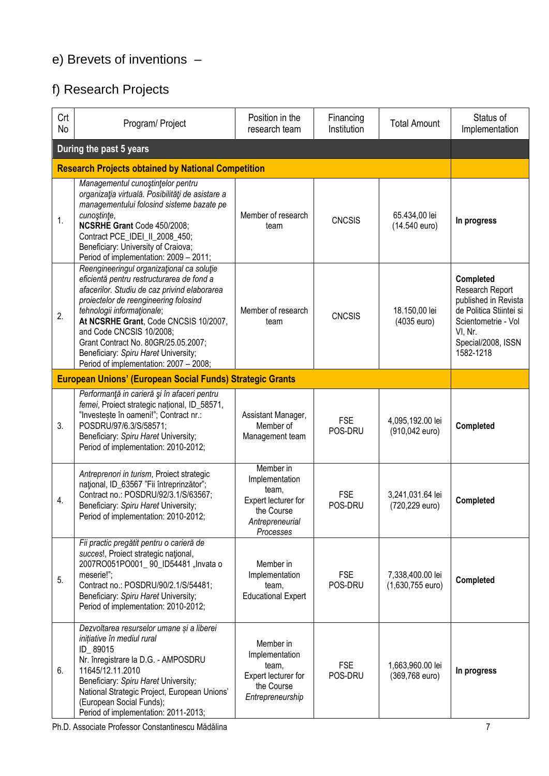# e) Brevets of inventions –

## f) Research Projects

| Crt<br>No                                                        | Program/ Project                                                                                                                                                                                                                                                                                                                                                                                            | Position in the<br>research team                                                                          | Financing<br>Institution | <b>Total Amount</b>                  | Status of<br>Implementation                                                                                                                          |
|------------------------------------------------------------------|-------------------------------------------------------------------------------------------------------------------------------------------------------------------------------------------------------------------------------------------------------------------------------------------------------------------------------------------------------------------------------------------------------------|-----------------------------------------------------------------------------------------------------------|--------------------------|--------------------------------------|------------------------------------------------------------------------------------------------------------------------------------------------------|
| During the past 5 years                                          |                                                                                                                                                                                                                                                                                                                                                                                                             |                                                                                                           |                          |                                      |                                                                                                                                                      |
| <b>Research Projects obtained by National Competition</b>        |                                                                                                                                                                                                                                                                                                                                                                                                             |                                                                                                           |                          |                                      |                                                                                                                                                      |
| 1.                                                               | Managementul cunostintelor pentru<br>organizația virtuală. Posibilități de asistare a<br>managementului folosind sisteme bazate pe<br>cunostinte,<br>NCSRHE Grant Code 450/2008;<br>Contract PCE_IDEI_II_2008_450;<br>Beneficiary: University of Craiova;<br>Period of implementation: 2009 - 2011;                                                                                                         | Member of research<br>team                                                                                | <b>CNCSIS</b>            | 65.434,00 lei<br>(14.540 euro)       | In progress                                                                                                                                          |
| 2.                                                               | Reengineeringul organizational ca solutie<br>eficientă pentru restructurarea de fond a<br>afacerilor. Studiu de caz privind elaborarea<br>proiectelor de reengineering folosind<br>tehnologii informationale;<br>At NCSRHE Grant, Code CNCSIS 10/2007,<br>and Code CNCSIS 10/2008;<br>Grant Contract No. 80GR/25.05.2007;<br>Beneficiary: Spiru Haret University;<br>Period of implementation: 2007 - 2008; | Member of research<br>team                                                                                | <b>CNCSIS</b>            | 18.150,00 lei<br>(4035 euro)         | Completed<br>Research Report<br>published in Revista<br>de Politica Stiintei si<br>Scientometrie - Vol<br>VI, Nr.<br>Special/2008, ISSN<br>1582-1218 |
| <b>European Unions' (European Social Funds) Strategic Grants</b> |                                                                                                                                                                                                                                                                                                                                                                                                             |                                                                                                           |                          |                                      |                                                                                                                                                      |
| 3.                                                               | Performanță in carieră și în afaceri pentru<br>femei, Proiect strategic național, ID_58571,<br>"Investește în oameni!"; Contract nr.:<br>POSDRU/97/6.3/S/58571;<br>Beneficiary: Spiru Haret University;<br>Period of implementation: 2010-2012;                                                                                                                                                             | Assistant Manager,<br>Member of<br>Management team                                                        | <b>FSE</b><br>POS-DRU    | 4,095,192.00 lei<br>(910,042 euro)   | Completed                                                                                                                                            |
| 4.                                                               | Antreprenori in turism, Proiect strategic<br>național, ID_63567 "Fii întreprinzător";<br>Contract no.: POSDRU/92/3.1/S/63567;<br>Beneficiary: Spiru Haret University;<br>Period of implementation: 2010-2012;                                                                                                                                                                                               | Member in<br>Implementation<br>team,<br>Expert lecturer for<br>the Course<br>Antrepreneurial<br>Processes | <b>FSE</b><br>POS-DRU    | 3,241,031.64 lei<br>(720,229 euro)   | Completed                                                                                                                                            |
| 5.                                                               | Fii practic pregătit pentru o carieră de<br>succes!, Proiect strategic national,<br>2007RO051PO001_90_ID54481 "Invata o<br>meserie!":<br>Contract no.: POSDRU/90/2.1/S/54481;<br>Beneficiary: Spiru Haret University;<br>Period of implementation: 2010-2012;                                                                                                                                               | Member in<br>Implementation<br>team,<br><b>Educational Expert</b>                                         | <b>FSE</b><br>POS-DRU    | 7,338,400.00 lei<br>(1,630,755 euro) | Completed                                                                                                                                            |
| 6.                                                               | Dezvoltarea resurselor umane și a liberei<br>inițiative în mediul rural<br>ID_89015<br>Nr. înregistrare la D.G. - AMPOSDRU<br>11645/12.11.2010<br>Beneficiary: Spiru Haret University;<br>National Strategic Project, European Unions'<br>(European Social Funds);<br>Period of implementation: 2011-2013;                                                                                                  | Member in<br>Implementation<br>team,<br>Expert lecturer for<br>the Course<br>Entrepreneurship             | <b>FSE</b><br>POS-DRU    | 1,663,960.00 lei<br>(369,768 euro)   | In progress                                                                                                                                          |

Ph.D. Associate Professor Constantinescu Mădălina 7